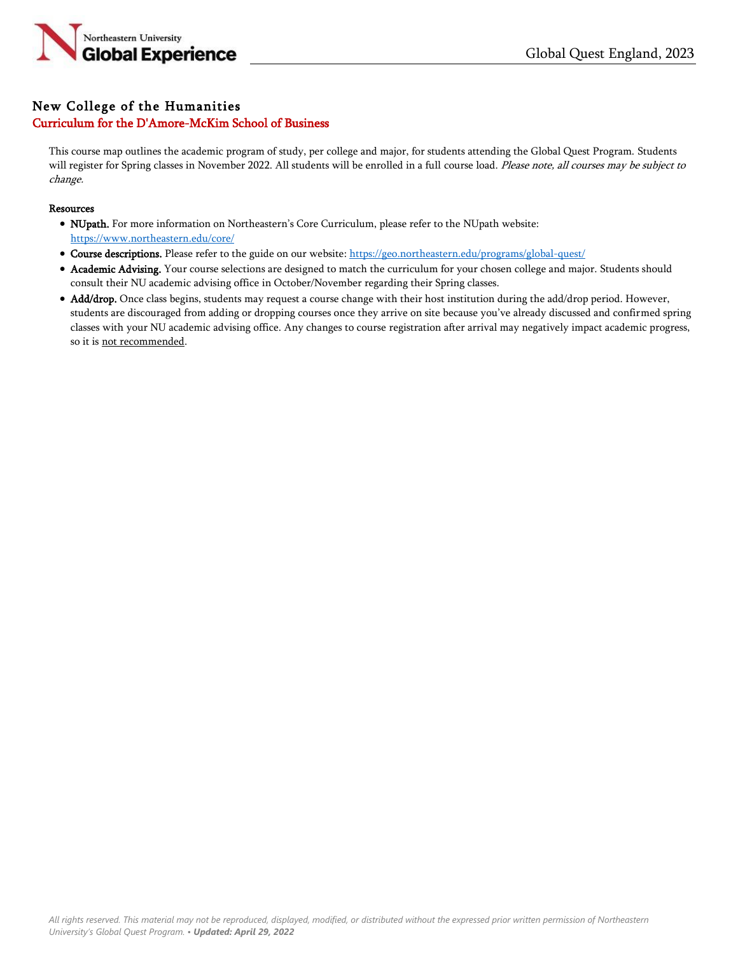

## New College of the Humanities Curriculum for the D'Amore-McKim School of Business

This course map outlines the academic program of study, per college and major, for students attending the Global Quest Program. Students will register for Spring classes in November 2022. All students will be enrolled in a full course load. Please note, all courses may be subject to change.

## Resources

- NUpath. For more information on Northeastern's Core Curriculum, please refer to the NUpath website: <https://www.northeastern.edu/core/>
- Course descriptions. Please refer to the guide on our website: <https://geo.northeastern.edu/programs/global-quest/>
- Academic Advising. Your course selections are designed to match the curriculum for your chosen college and major. Students should consult their NU academic advising office in October/November regarding their Spring classes.
- Add/drop. Once class begins, students may request a course change with their host institution during the add/drop period. However, students are discouraged from adding or dropping courses once they arrive on site because you've already discussed and confirmed spring classes with your NU academic advising office. Any changes to course registration after arrival may negatively impact academic progress, so it is not recommended.